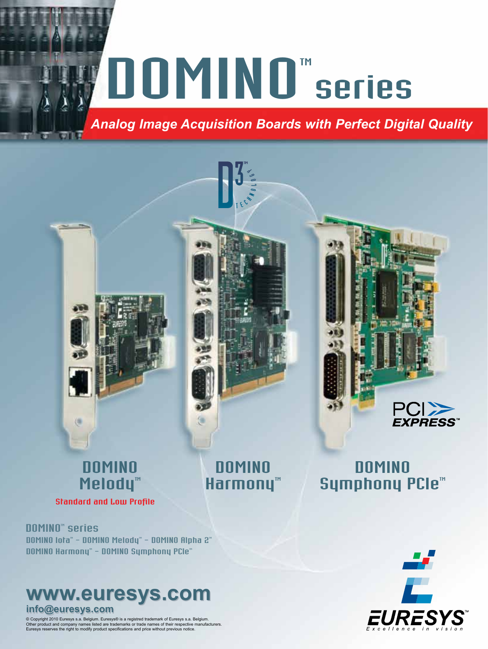# MOMINOT series

**DOMINO** Harmony<sup>™</sup>

*Analog Image Acquisition Boards with Perfect Digital Quality*

## **DOMINO** Melody<sup>™</sup>

Standard and Low Profile

DOMINO lota" - DOMINO Melody" - DOMINO Alpha 2" DOMINO Harmony" - DOMINO Symphony PCIe" DOMINO<sup>®</sup> series

# **www.euresys.com www.euresys.com**

**info@euresys.com info@euresys.com**

© Copyright 2010 Euresys s.a. Belgium. Euresys® is a registred trademark of Euresys s.a. Belgium. Other product and company names listed are trademarks or trade names of their respective manufacturers. Euresys reserves the right to modify product specifications and price without previous notice.



**DOMINO** Symphony PCIe<sup>m</sup>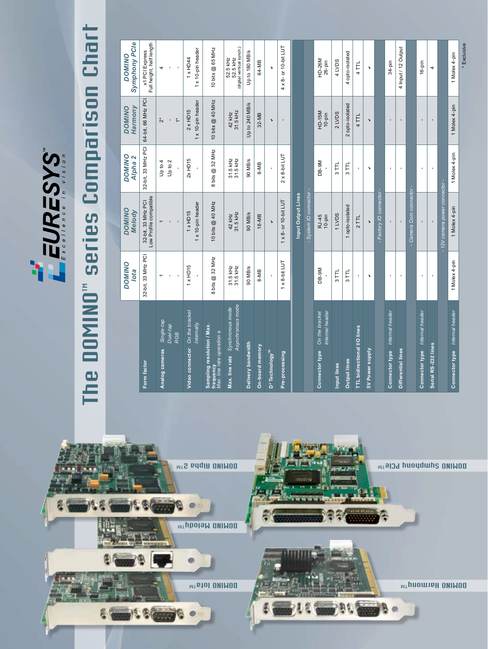

# The DOMINO" series Comparison Chart The DOMINO" series Comparison Chart

|                                                                       | <b>DOMINO</b><br>lota     | <b>DOMINO</b><br>Melody                          | <b>DOMINO</b><br>Alpha <sub>2</sub> | Harmony<br><b>DOMINO</b>                              | <b>Symphony PCIe</b><br><b>DOMINO</b>             |
|-----------------------------------------------------------------------|---------------------------|--------------------------------------------------|-------------------------------------|-------------------------------------------------------|---------------------------------------------------|
| Form factor                                                           | 32-bit, 33 MHz PCI        | 32-bit, 33 MHz PCI<br>Low Profile compatible     | 32-bit, 33 MHz PCI                  | 64-bit, 66 MHz PCI                                    | Full height, half length<br>x1 PCI Express        |
| Single-tap<br>Dual-tap<br><b>RGB</b><br>Analog cameras                | $\overline{\phantom{0}}$  |                                                  | Up to 2<br>Up to 4                  | $\overset{\star}{\leftarrow}$<br>$\stackrel{*}{\sim}$ | 4                                                 |
| On the bracket<br>Internally<br>Video connector                       | $1 \times$ HD15           | 1 x 10-pin header<br>$1 \times$ HD <sub>15</sub> | $2x$ HD15                           | 1 x 10-pin header<br>$2 \times$ HD15                  | 1 x 10-pin header<br>1 x HD44                     |
| Sampling resolution / Max.<br>frequency<br>Max. line rate operation a | bits @ 32 MHz<br>$\infty$ | 10 bits @ 40 MHz                                 | bits @ 32 MHz<br>$\infty$           | 10 bits @ 40 MHz                                      | 10 bits @ 65 MHz                                  |
| Asynchronous mode<br>Max. line rate Synchronous mode                  | 31.5 kHz<br>31.5 kHz      | 31.5 kHz<br>42 kHz                               | 31.5 KHz<br>31.5 KHz                | 31.5 KHz<br>42 kHz                                    | (digital vertical synch.)<br>52.5 kHz<br>52.5 kHz |
| Delivery bandwidth                                                    | 90 MB/s                   | 90 MB/s                                          | 90 MB/s                             | Up to 240 MB/s                                        | Up to 180 MB/s                                    |
| On-board memory                                                       | $8-MB$                    | 16-MB                                            | 8-MB                                | 32-MB                                                 | 64-MB                                             |
| D <sup>s</sup> Technology™                                            |                           | $\overline{\phantom{a}}$                         |                                     | $\mathbf{v}$                                          | $\overline{\phantom{a}}$                          |
| Pre-processing                                                        | $1 \times 8$ -bit LUT     | $1 \times 8$ - or $10$ -bit LUT                  | $2 \times 8$ -bit LUT               |                                                       | $4 \times 8$ - or 10-bit LUT                      |
|                                                                       |                           | Input Output Lines                               |                                     |                                                       |                                                   |
|                                                                       |                           | System IO connector                              |                                     |                                                       |                                                   |
| Internal header<br>On the bracket<br>Connector type                   | $DB-9M$                   | RJ-45<br>$10$ -pin                               | DB-9M                               | HD-15M<br>$10$ -pin                                   | HD-26M<br>$26-pin$                                |
| Input lines                                                           | $3$ TTL                   | 1 LVDS                                           | $3$ <sub>TTL</sub>                  | 2 LVDS                                                | 4 LVDS                                            |
| <b>Output lines</b>                                                   | $3$ TTL                   | 1 opto-isolated                                  | $3$ TTL                             | 2 opto-isolated                                       | opto-isolated<br>4                                |
| <b>TTL bidirectional I/O lines</b>                                    | J.                        | 2TTL                                             |                                     | 4 TTL                                                 | 4 TTL                                             |
| 5V Power supply                                                       | v                         | $\overline{\phantom{a}}$                         | $\mathbf{v}$                        | $\blacktriangleright$                                 | $\mathbf{v}$                                      |
|                                                                       |                           | Factory IO connector -                           |                                     |                                                       |                                                   |
| Internal header<br>Connector type                                     | $\mathbf{I}$              |                                                  |                                     |                                                       | $34-pin$                                          |
| Differential lines                                                    | $\mathbf{r}$              |                                                  |                                     |                                                       | 4 Input / 12 Output                               |
|                                                                       |                           | Camera Com connector-                            |                                     |                                                       |                                                   |
| Connector type Internal header                                        | $\mathbf{I}$              |                                                  |                                     |                                                       | $16-pin$                                          |
| Serial RS-232 lines                                                   |                           |                                                  |                                     | $\mathbf{I}$                                          | 4                                                 |
|                                                                       |                           | - 12V camera power connector -                   |                                     |                                                       |                                                   |
| Connector type Internal header                                        | 1 Molex 4-pin             | 1 Molex 4-pin                                    | 1 Molex 4-pin                       | 1 Molex 4-pin                                         | 1 Molex 4-pin                                     |
|                                                                       |                           |                                                  |                                     |                                                       | * Exclusive                                       |

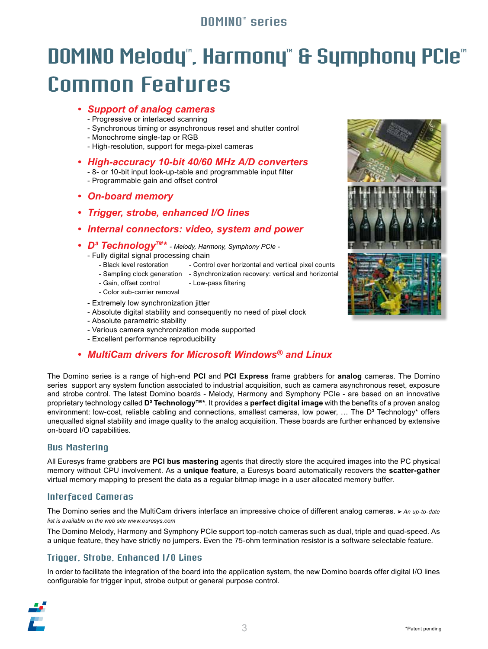### **DOMINOT** series

# DOMINO Melody", Harmony" & Symphony PCIe" Common Features

- *• Support of analog cameras*
	- Progressive or interlaced scanning
	- Synchronous timing or asynchronous reset and shutter control
	- Monochrome single-tap or RGB
	- High-resolution, support for mega-pixel cameras
- *• High-accuracy 10-bit 40/60 MHz A/D converters*
	- 8- or 10-bit input look-up-table and programmable input filter
	- Programmable gain and offset control
- *• On-board memory*
- *• Trigger, strobe, enhanced I/O lines*
- *• Internal connectors: video, system and power*
- *• D³ TechnologyTM\* Melody, Harmony, Symphony PCIe -*
	- Fully digital signal processing chain
		- Black level restoration Control over horizontal and vertical pixel counts
		- Sampling clock generation Synchronization recovery: vertical and horizontal
		- Gain, offset control Low-pass filtering
		- Color sub-carrier removal
	- Extremely low synchronization jitter
	- Absolute digital stability and consequently no need of pixel clock
	- Absolute parametric stability
	- Various camera synchronization mode supported
	- Excellent performance reproducibility

### *• MultiCam drivers for Microsoft Windows® and Linux*

The Domino series is a range of high-end **PCI** and **PCI Express** frame grabbers for **analog** cameras. The Domino series support any system function associated to industrial acquisition, such as camera asynchronous reset, exposure and strobe control. The latest Domino boards - Melody, Harmony and Symphony PCIe - are based on an innovative proprietary technology called **D³ Technology™\***. It provides a **perfect digital image** with the benefits of a proven analog environment: low-cost, reliable cabling and connections, smallest cameras, low power, ... The D<sup>3</sup> Technology\* offers unequalled signal stability and image quality to the analog acquisition. These boards are further enhanced by extensive on-board I/O capabilities.

### Bus Mastering

All Euresys frame grabbers are **PCI bus mastering** agents that directly store the acquired images into the PC physical memory without CPU involvement. As a **unique feature**, a Euresys board automatically recovers the **scatter-gather**  virtual memory mapping to present the data as a regular bitmap image in a user allocated memory buffer.

### Interfaced Cameras

The Domino series and the MultiCam drivers interface an impressive choice of different analog cameras. *> An up-to-date list is available on the web site www.euresys.com*

The Domino Melody, Harmony and Symphony PCIe support top-notch cameras such as dual, triple and quad-speed. As a unique feature, they have strictly no jumpers. Even the 75-ohm termination resistor is a software selectable feature.

### Trigger, Strobe, Enhanced I/O Lines

In order to facilitate the integration of the board into the application system, the new Domino boards offer digital I/O lines configurable for trigger input, strobe output or general purpose control.



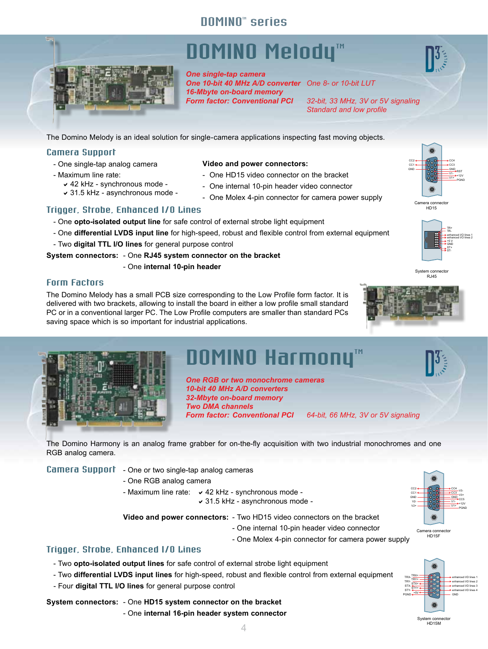### DOMINO<sup>®</sup> series

# DOMINO Melody<sup>™</sup>

*One single-tap camera One 10-bit 40 MHz A/D converter One 8- or 10-bit LUT 16-Mbyte on-board memory*

*Form factor: Conventional PCI 32-bit, 33 MHz, 3V or 5V signaling Standard and low profile*

The Domino Melody is an ideal solution for single-camera applications inspecting fast moving objects.

### Camera Support

- One single-tap analog camera
- Maximum line rate:

### **Video and power connectors:**

- One HD15 video connector on the bracket
- One internal 10-pin header video connector
- One Molex 4-pin connector for camera power supply

### Trigger, Strobe, Enhanced I/O Lines

 $\times$  42 kHz - synchronous mode a31.5 kHz - asynchronous mode -

- One **opto-isolated output line** for safe control of external strobe light equipment
- One differential LVDS input line for high-speed, robust and flexible control from external equipment
- Two **digital TTL I/O lines** for general purpose control
- **System connectors:** One **RJ45 system connector on the bracket**
	- One **internal 10-pin header**

### Form Factors

The Domino Melody has a small PCB size corresponding to the Low Profile form factor. It is delivered with two brackets, allowing to install the board in either a low profile small standard PC or in a conventional larger PC. The Low Profile computers are smaller than standard PCs saving space which is so important for industrial applications.



# DOMINO Harmony<sup>™</sup>

*One RGB or two monochrome cameras 10-bit 40 MHz A/D converters 32-Mbyte on-board memory Two DMA channels Form factor: Conventional PCI 64-bit, 66 MHz, 3V or 5V signaling*

The Domino Harmony is an analog frame grabber for on-the-fly acquisition with two industrial monochromes and one RGB analog camera.

Camera Support - One or two single-tap analog cameras

- One RGB analog camera

- Maximum line rate:  $\times$  42 kHz synchronous mode -
	- $\vee$  31.5 kHz asynchronous mode -

**Video and power connectors:** - Two HD15 video connectors on the bracket

- One internal 10-pin header video connector
- One Molex 4-pin connector for camera power supply

### Trigger, Strobe, Enhanced I/O Lines

- Two **opto-isolated output lines** for safe control of external strobe light equipment
- Two **differential LVDS input lines** for high-speed, robust and flexible control from external equipment

 $\Delta$ 

- Four **digital TTL I/O lines** for general purpose control

### **System connectors:** - One **HD15 system connector on the bracket**

- One **internal 16-pin header system connector**



GND CC4 CC<sub>3</sub> V1- V1+ CC5 V3- V3+ +12V PGND

**3 4 5**

Camera connector HD15F



**GND** CC4 CC3 V1-

RST +12V

**GND** CC2 CC<sub>1</sub>











GND CC2 CC1 V2-  $V2+$ 

System connector HD15M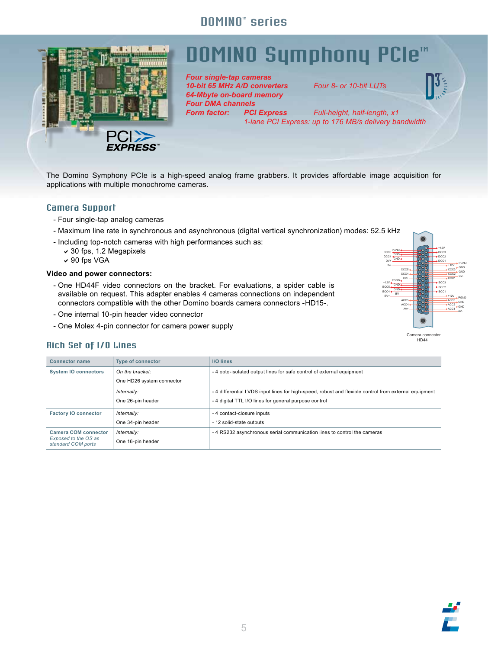### DOMINO<sup>™</sup> series



# OMINO Symphony PCle™

*Four single-tap cameras 10-bit 65 MHz A/D converters Four 8- or 10-bit LUTs 64-Mbyte on-board memory Four DMA channels*

*Full-height, half-length, x1 1-lane PCI Express: up to 176 MB/s delivery bandwidth*

The Domino Symphony PCIe is a high-speed analog frame grabbers. It provides affordable image acquisition for applications with multiple monochrome cameras.

### Camera Support

- Four single-tap analog cameras
- Maximum line rate in synchronous and asynchronous (digital vertical synchronization) modes: 52.5 kHz
- Including top-notch cameras with high performances such as:
	- $\sim$  30 fps, 1.2 Megapixels
	- $\vee$  90 fps VGA

### **Video and power connectors:**

- One HD44F video connectors on the bracket. For evaluations, a spider cable is available on request. This adapter enables 4 cameras connections on independent connectors compatible with the other Domino boards camera connectors -HD15-.
- One internal 10-pin header video connector
- One Molex 4-pin connector for camera power supply



### Rich Set of I/O Lines

| <b>Connector name</b>                                                     | <b>Type of connector</b>  | <b>I/O lines</b>                                                                                     |
|---------------------------------------------------------------------------|---------------------------|------------------------------------------------------------------------------------------------------|
| <b>System IO connectors</b>                                               | On the bracket:           | - 4 opto-isolated output lines for safe control of external equipment                                |
|                                                                           | One HD26 system connector |                                                                                                      |
|                                                                           | Internally:               | -4 differential LVDS input lines for high-speed, robust and flexible control from external equipment |
|                                                                           | One 26-pin header         | - 4 digital TTL I/O lines for general purpose control                                                |
| <b>Factory IO connector</b>                                               | Internally:               | - 4 contact-closure inputs                                                                           |
|                                                                           | One 34-pin header         | - 12 solid-state outputs                                                                             |
| <b>Camera COM connector</b><br>Exposed to the OS as<br>standard COM ports | Internally:               | -4 RS232 asynchronous serial communication lines to control the cameras                              |
|                                                                           | One 16-pin header         |                                                                                                      |